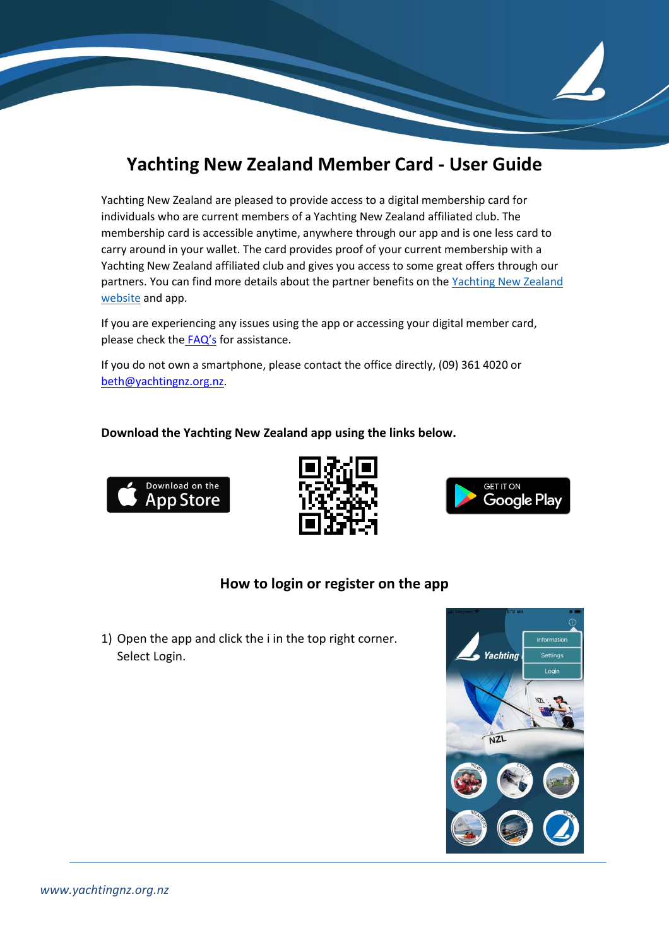## **Yachting New Zealand Member Card - User Guide**

Yachting New Zealand are pleased to provide access to a digital membership card for individuals who are current members of a Yachting New Zealand affiliated club. The membership card is accessible anytime, anywhere through our app and is one less card to carry around in your wallet. The card provides proof of your current membership with a Yachting New Zealand affiliated club and gives you access to some great offers through our partners. You can find more details about the partner benefits on the Yachting New Zealand [website](https://www.yachtingnz.org.nz/about-us/member-card-and-app) and app.

If you are experiencing any issues using the app or accessing your digital member card, please check the [FAQ](https://www.yachtingnz.org.nz/resources/member-card-faq)'s for assistance.

If you do not own a smartphone, please contact the office directly, (09) 361 4020 or [beth@yachtingnz.org.nz.](mailto:beth@yachtingnz.org.nz)

## **Download the Yachting New Zealand app using the links below.**







## **How to login or register on the app**

1) Open the app and click the i in the top right corner. Select Login.

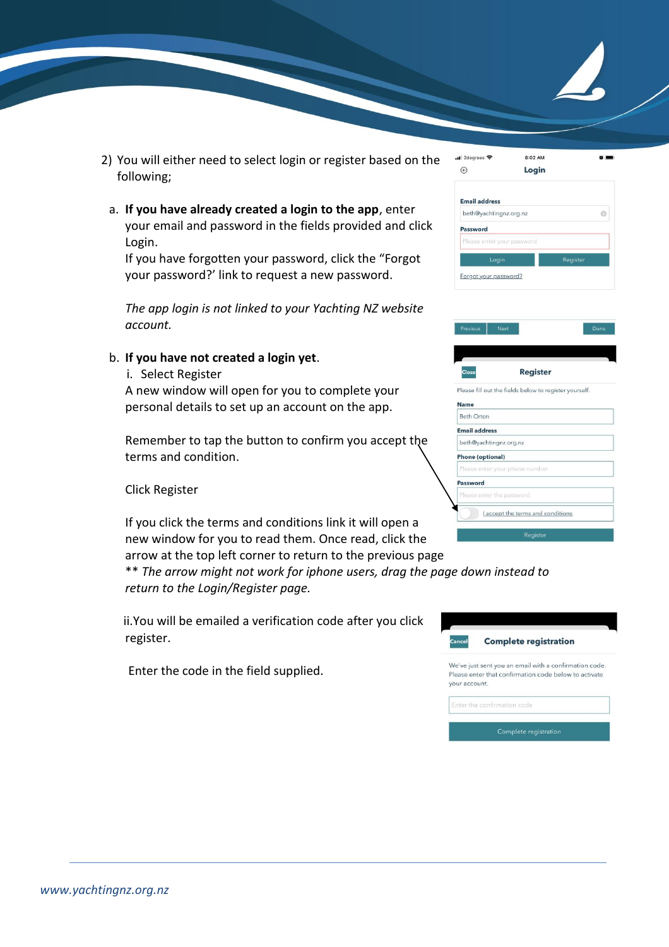- 2) You will either need to select login or register based on the following;
	- a. **If you have already created a login to the app**, enter your email and password in the fields provided and click Login.

If you have forgotten your password, click the "Forgot your password?' link to request a new password.

*The app login is not linked to your Yachting NZ website account.*

## b. **If you have not created a login yet**.

i. Select Register

A new window will open for you to complete your personal details to set up an account on the app.

Remember to tap the button to confirm you accept the terms and condition.

Click Register

If you click the terms and conditions link it will open a new window for you to read them. Once read, click the arrow at the top left corner to return to the previous page

\*\* *The arrow might not work for iphone users, drag the page down instead to return to the Login/Register page.*

ii.You will be emailed a verification code after you click register.

Enter the code in the field supplied.

| $_{\odot}$              | Login                                                  |          |
|-------------------------|--------------------------------------------------------|----------|
| <b>Email address</b>    |                                                        |          |
|                         | beth@yachtingnz.org.nz                                 | o        |
| Password                |                                                        |          |
|                         | Please enter your password                             |          |
|                         | Login                                                  | Register |
|                         | Forgot your password?                                  |          |
|                         |                                                        |          |
|                         |                                                        |          |
| Previous                | <b>Next</b>                                            | Done     |
|                         |                                                        |          |
|                         |                                                        |          |
| Close                   | <b>Register</b>                                        |          |
|                         | Please fill out the fields below to register yourself. |          |
| <b>Name</b>             |                                                        |          |
| <b>Beth Orton</b>       |                                                        |          |
| <b>Email address</b>    |                                                        |          |
|                         | beth@yachtingnz.org.nz                                 |          |
| <b>Phone (optional)</b> |                                                        |          |
|                         | Please enter your phone number                         |          |
| Password                |                                                        |          |

8:02 AM

 $\sim$   $\sim$ 

ull 2degrees 우



Laccept the terms and conditions